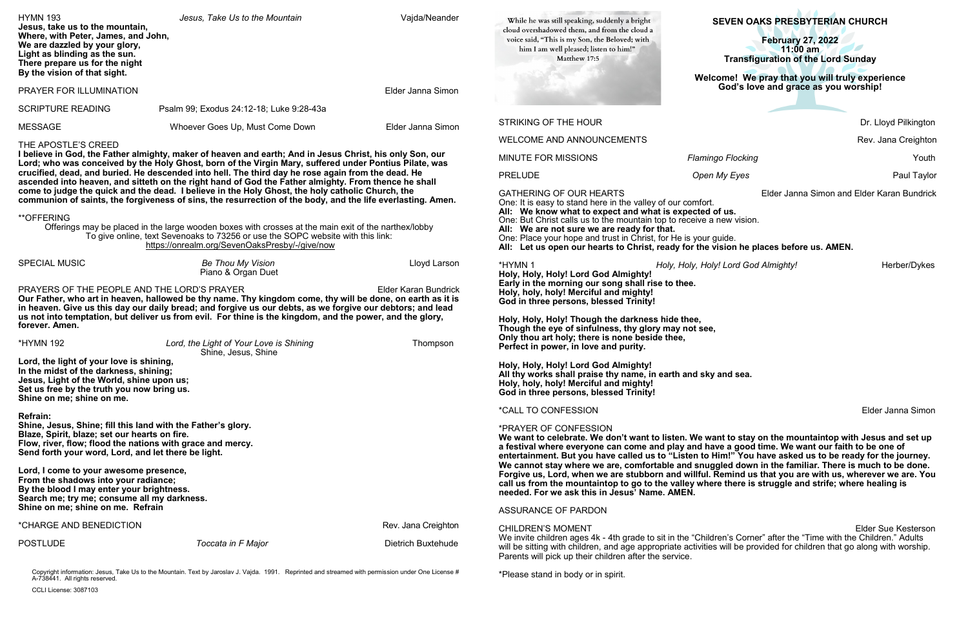# **SEVEN OAKS PRESBYTERIAN CHURCH**

#### **February 27, 2022 11:00 am Transfiguration of the Lord Sunday**

#### **Welcome!****We pray that you will truly experience God's love and grace as you worship!**

Dr. Lloyd Pilkington

Rev. Jana Creighton

**Mingo Flocking and Allen Mission Community Flocking**  $\sim$  Youth

**Paul Taylor Paul Taylor Paul Taylor** 

Elder Janna Simon and Elder Karan Bundrick<br>ort.

**We want to celebrate. We don't want to listen. We want to stay on the mountaintop with Jesus and set up entertainment. But you have called us to "Listen to Him!" You have asked us to be ready for the journey. We cannot stay where we are, comfortable and snuggled down in the familiar. There is much to be done. Forgive us, Lord, when we are stubborn and willful. Remind us that you are with us, wherever we are. You chall is struggle and strife; where healing is** 

> Elder Sue Kesterson hildren's Corner" after the "Time with the Children." Adults will be provided for children that go along with worship.

> \*HYMN 1 *Holy, Holy, Holy! Lord God Almighty!* Herber/Dykes

Elder Janna Simon

| <b>HYMN 193</b><br>Jesus, take us to the mountain,<br>Where, with Peter, James, and John,<br>We are dazzled by your glory,<br>Light as blinding as the sun.<br>There prepare us for the night<br>By the vision of that sight.                                                                                                                                                                                                                                                                                                                                                                                                                                                                                                                                                                                                                                                                                         | Jesus, Take Us to the Mountain                                 | Vajda/Neander                                                                           | While he was still speaking, suddenly a bright<br>cloud overshadowed them, and from the cloud a<br>voice said, "This is my Son, the Beloved; with<br>him I am well pleased; listen to him!"<br>Matthew 17:5                                                                                                                                                                                                                                                                          | SEVEN OAKS PRESBYTERIAN CHURCH<br><b>February 27, 2022</b><br>$11:00$ am<br><b>Transfiguration of the Lord Sunday</b> |               |
|-----------------------------------------------------------------------------------------------------------------------------------------------------------------------------------------------------------------------------------------------------------------------------------------------------------------------------------------------------------------------------------------------------------------------------------------------------------------------------------------------------------------------------------------------------------------------------------------------------------------------------------------------------------------------------------------------------------------------------------------------------------------------------------------------------------------------------------------------------------------------------------------------------------------------|----------------------------------------------------------------|-----------------------------------------------------------------------------------------|--------------------------------------------------------------------------------------------------------------------------------------------------------------------------------------------------------------------------------------------------------------------------------------------------------------------------------------------------------------------------------------------------------------------------------------------------------------------------------------|-----------------------------------------------------------------------------------------------------------------------|---------------|
| PRAYER FOR ILLUMINATION<br>Elder Janna Simon                                                                                                                                                                                                                                                                                                                                                                                                                                                                                                                                                                                                                                                                                                                                                                                                                                                                          |                                                                | Welcome! We pray that you will truly experience<br>God's love and grace as you worship! |                                                                                                                                                                                                                                                                                                                                                                                                                                                                                      |                                                                                                                       |               |
| <b>SCRIPTURE READING</b>                                                                                                                                                                                                                                                                                                                                                                                                                                                                                                                                                                                                                                                                                                                                                                                                                                                                                              | Psalm 99; Exodus 24:12-18; Luke 9:28-43a                       |                                                                                         |                                                                                                                                                                                                                                                                                                                                                                                                                                                                                      |                                                                                                                       |               |
| <b>MESSAGE</b>                                                                                                                                                                                                                                                                                                                                                                                                                                                                                                                                                                                                                                                                                                                                                                                                                                                                                                        | Whoever Goes Up, Must Come Down                                | Elder Janna Simon                                                                       | <b>STRIKING OF THE HOUR</b>                                                                                                                                                                                                                                                                                                                                                                                                                                                          |                                                                                                                       | Dr. Lloyd Pil |
| THE APOSTLE'S CREED                                                                                                                                                                                                                                                                                                                                                                                                                                                                                                                                                                                                                                                                                                                                                                                                                                                                                                   |                                                                |                                                                                         | <b>WELCOME AND ANNOUNCEMENTS</b>                                                                                                                                                                                                                                                                                                                                                                                                                                                     |                                                                                                                       | Rev. Jana C   |
| I believe in God, the Father almighty, maker of heaven and earth; And in Jesus Christ, his only Son, our<br>Lord; who was conceived by the Holy Ghost, born of the Virgin Mary, suffered under Pontius Pilate, was<br>crucified, dead, and buried. He descended into hell. The third day he rose again from the dead. He<br>ascended into heaven, and sitteth on the right hand of God the Father almighty. From thence he shall<br>come to judge the quick and the dead. I believe in the Holy Ghost, the holy catholic Church, the<br>communion of saints, the forgiveness of sins, the resurrection of the body, and the life everlasting. Amen.<br><b>**OFFERING</b><br>Offerings may be placed in the large wooden boxes with crosses at the main exit of the narthex/lobby<br>To give online, text Sevenoaks to 73256 or use the SOPC website with this link:<br>https://onrealm.org/SevenOaksPresby/-/give/now |                                                                |                                                                                         | <b>MINUTE FOR MISSIONS</b>                                                                                                                                                                                                                                                                                                                                                                                                                                                           | <b>Flamingo Flocking</b>                                                                                              |               |
|                                                                                                                                                                                                                                                                                                                                                                                                                                                                                                                                                                                                                                                                                                                                                                                                                                                                                                                       |                                                                |                                                                                         | <b>PRELUDE</b>                                                                                                                                                                                                                                                                                                                                                                                                                                                                       | Open My Eyes                                                                                                          | Pau           |
|                                                                                                                                                                                                                                                                                                                                                                                                                                                                                                                                                                                                                                                                                                                                                                                                                                                                                                                       |                                                                |                                                                                         | <b>GATHERING OF OUR HEARTS</b><br>Elder Janna Simon and Elder Karan B<br>One: It is easy to stand here in the valley of our comfort.<br>All: We know what to expect and what is expected of us.<br>One: But Christ calls us to the mountain top to receive a new vision.<br>All: We are not sure we are ready for that.<br>One: Place your hope and trust in Christ, for He is your guide.<br>All: Let us open our hearts to Christ, ready for the vision he places before us. AMEN. |                                                                                                                       |               |
| <b>SPECIAL MUSIC</b>                                                                                                                                                                                                                                                                                                                                                                                                                                                                                                                                                                                                                                                                                                                                                                                                                                                                                                  | <b>Be Thou My Vision</b><br>Piano & Organ Duet                 | Lloyd Larson                                                                            | *HYMN 1                                                                                                                                                                                                                                                                                                                                                                                                                                                                              | Holy, Holy, Holy! Lord God Almighty!                                                                                  | Herber        |
| PRAYERS OF THE PEOPLE AND THE LORD'S PRAYER<br><b>Elder Karan Bundrick</b><br>Our Father, who art in heaven, hallowed be thy name. Thy kingdom come, thy will be done, on earth as it is<br>in heaven. Give us this day our daily bread; and forgive us our debts, as we forgive our debtors; and lead<br>us not into temptation, but deliver us from evil. For thine is the kingdom, and the power, and the glory,<br>forever. Amen.                                                                                                                                                                                                                                                                                                                                                                                                                                                                                 |                                                                |                                                                                         | Holy, Holy, Holy! Lord God Almighty!<br>Early in the morning our song shall rise to thee.<br>Holy, holy, holy! Merciful and mighty!<br>God in three persons, blessed Trinity!<br>Holy, Holy, Holy! Though the darkness hide thee,<br>Though the eye of sinfulness, thy glory may not see,<br>Only thou art holy; there is none beside thee,                                                                                                                                          |                                                                                                                       |               |
| <b>*HYMN 192</b>                                                                                                                                                                                                                                                                                                                                                                                                                                                                                                                                                                                                                                                                                                                                                                                                                                                                                                      | Lord, the Light of Your Love is Shining<br>Shine, Jesus, Shine | Thompson                                                                                | Perfect in power, in love and purity.                                                                                                                                                                                                                                                                                                                                                                                                                                                |                                                                                                                       |               |
| Lord, the light of your love is shining,<br>In the midst of the darkness, shining;<br>Jesus, Light of the World, shine upon us;<br>Set us free by the truth you now bring us.<br>Shine on me; shine on me.                                                                                                                                                                                                                                                                                                                                                                                                                                                                                                                                                                                                                                                                                                            |                                                                |                                                                                         | Holy, Holy, Holy! Lord God Almighty!<br>All thy works shall praise thy name, in earth and sky and sea.<br>Holy, holy, holy! Merciful and mighty!<br>God in three persons, blessed Trinity!                                                                                                                                                                                                                                                                                           |                                                                                                                       |               |
| <b>Refrain:</b>                                                                                                                                                                                                                                                                                                                                                                                                                                                                                                                                                                                                                                                                                                                                                                                                                                                                                                       |                                                                |                                                                                         | <i><b>*CALL TO CONFESSION</b></i>                                                                                                                                                                                                                                                                                                                                                                                                                                                    |                                                                                                                       | Elder Janna   |
| Shine, Jesus, Shine; fill this land with the Father's glory.<br>Blaze, Spirit, blaze; set our hearts on fire.<br>Flow, river, flow; flood the nations with grace and mercy.<br>Send forth your word, Lord, and let there be light.                                                                                                                                                                                                                                                                                                                                                                                                                                                                                                                                                                                                                                                                                    |                                                                |                                                                                         | *PRAYER OF CONFESSION<br>We want to celebrate. We don't want to listen. We want to stay on the mountaintop with Jesus and<br>a festival where everyone can come and play and have a good time. We want our faith to be one of<br>entertainment. But you have called us to "Listen to Him!" You have asked us to be ready for the jou                                                                                                                                                 |                                                                                                                       |               |
| Lord, I come to your awesome presence,<br>From the shadows into your radiance;<br>By the blood I may enter your brightness.<br>Search me; try me; consume all my darkness.<br>Shine on me; shine on me. Refrain                                                                                                                                                                                                                                                                                                                                                                                                                                                                                                                                                                                                                                                                                                       |                                                                |                                                                                         | We cannot stay where we are, comfortable and snuggled down in the familiar. There is much to be<br>Forgive us, Lord, when we are stubborn and willful. Remind us that you are with us, wherever we a<br>call us from the mountaintop to go to the valley where there is struggle and strife; where healing is<br>needed. For we ask this in Jesus' Name. AMEN.                                                                                                                       |                                                                                                                       |               |
| *CHARGE AND BENEDICTION                                                                                                                                                                                                                                                                                                                                                                                                                                                                                                                                                                                                                                                                                                                                                                                                                                                                                               |                                                                | Rev. Jana Creighton                                                                     | ASSURANCE OF PARDON                                                                                                                                                                                                                                                                                                                                                                                                                                                                  |                                                                                                                       |               |
| <b>POSTLUDE</b>                                                                                                                                                                                                                                                                                                                                                                                                                                                                                                                                                                                                                                                                                                                                                                                                                                                                                                       | Toccata in F Major                                             | Dietrich Buxtehude                                                                      | <b>CHILDREN'S MOMENT</b><br>We invite children ages 4k - 4th grade to sit in the "Children's Corner" after the "Time with the Children." A<br>will be sitting with children, and age appropriate activities will be provided for children that go along with wo<br>Parents will pick up their children after the service.                                                                                                                                                            |                                                                                                                       | Elder Sue Ke  |
| Copyright information: Jesus, Take Us to the Mountain. Text by Jaroslav J. Vajda. 1991. Reprinted and streamed with permission under One License #<br>A-738441. All rights reserved.                                                                                                                                                                                                                                                                                                                                                                                                                                                                                                                                                                                                                                                                                                                                  |                                                                |                                                                                         | *Please stand in body or in spirit.                                                                                                                                                                                                                                                                                                                                                                                                                                                  |                                                                                                                       |               |

CCLI License: 3087103